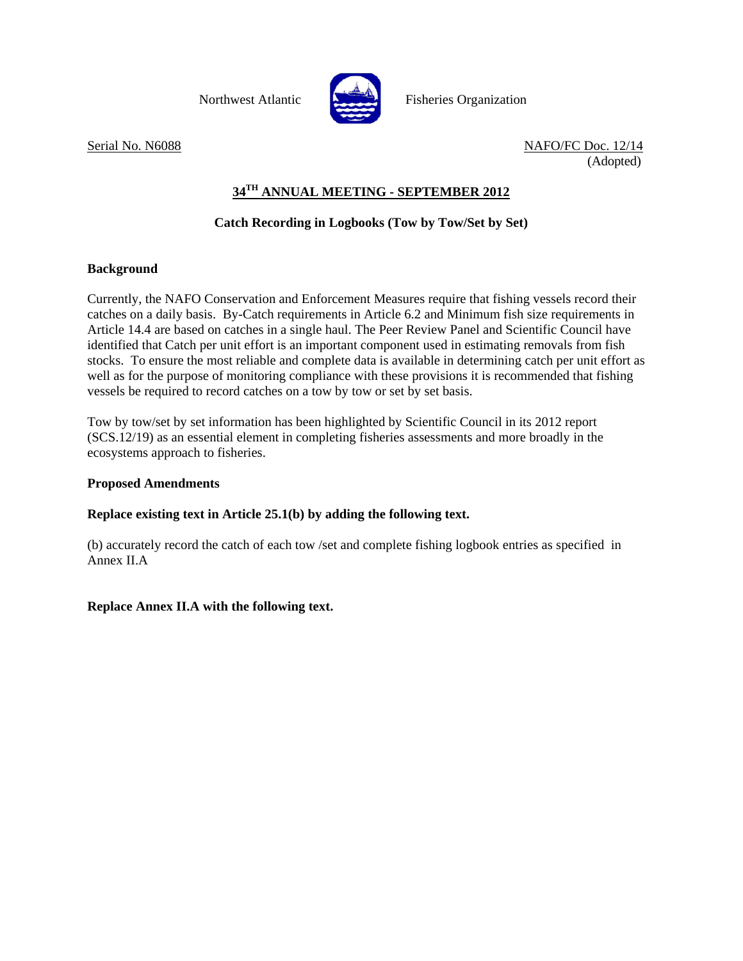

Northwest Atlantic Fisheries Organization

Serial No. N6088 NAFO/FC Doc. 12/14 (Adopted)

# **34TH ANNUAL MEETING - SEPTEMBER 2012**

## **Catch Recording in Logbooks (Tow by Tow/Set by Set)**

### **Background**

Currently, the NAFO Conservation and Enforcement Measures require that fishing vessels record their catches on a daily basis. By-Catch requirements in Article 6.2 and Minimum fish size requirements in Article 14.4 are based on catches in a single haul. The Peer Review Panel and Scientific Council have identified that Catch per unit effort is an important component used in estimating removals from fish stocks. To ensure the most reliable and complete data is available in determining catch per unit effort as well as for the purpose of monitoring compliance with these provisions it is recommended that fishing vessels be required to record catches on a tow by tow or set by set basis.

Tow by tow/set by set information has been highlighted by Scientific Council in its 2012 report (SCS.12/19) as an essential element in completing fisheries assessments and more broadly in the ecosystems approach to fisheries.

### **Proposed Amendments**

### **Replace existing text in Article 25.1(b) by adding the following text.**

(b) accurately record the catch of each tow /set and complete fishing logbook entries as specified in Annex II.A

**Replace Annex II.A with the following text.**